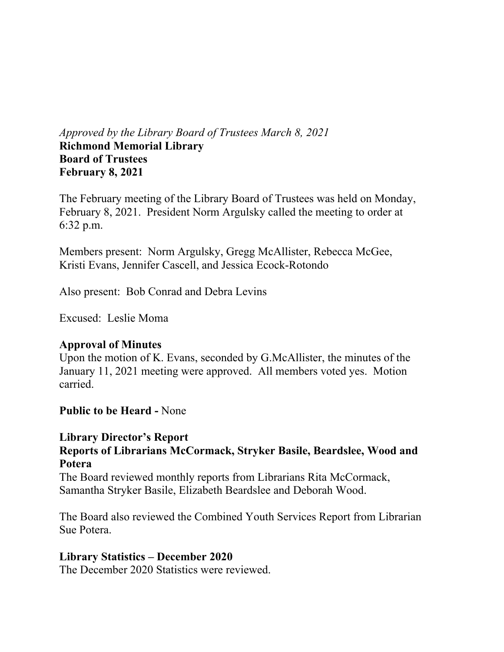*Approved by the Library Board of Trustees March 8, 2021* **Richmond Memorial Library Board of Trustees February 8, 2021** 

The February meeting of the Library Board of Trustees was held on Monday, February 8, 2021. President Norm Argulsky called the meeting to order at 6:32 p.m.

Members present: Norm Argulsky, Gregg McAllister, Rebecca McGee, Kristi Evans, Jennifer Cascell, and Jessica Ecock-Rotondo

Also present: Bob Conrad and Debra Levins

Excused: Leslie Moma

### **Approval of Minutes**

Upon the motion of K. Evans, seconded by G.McAllister, the minutes of the January 11, 2021 meeting were approved. All members voted yes. Motion carried.

**Public to be Heard -** None

#### **Library Director's Report**

### **Reports of Librarians McCormack, Stryker Basile, Beardslee, Wood and Potera**

The Board reviewed monthly reports from Librarians Rita McCormack, Samantha Stryker Basile, Elizabeth Beardslee and Deborah Wood.

The Board also reviewed the Combined Youth Services Report from Librarian Sue Potera.

### **Library Statistics – December 2020**

The December 2020 Statistics were reviewed.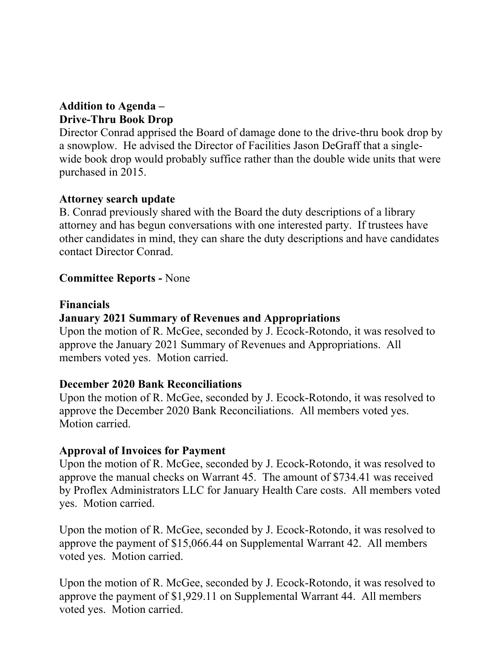## **Addition to Agenda – Drive-Thru Book Drop**

Director Conrad apprised the Board of damage done to the drive-thru book drop by a snowplow. He advised the Director of Facilities Jason DeGraff that a singlewide book drop would probably suffice rather than the double wide units that were purchased in 2015.

# **Attorney search update**

B. Conrad previously shared with the Board the duty descriptions of a library attorney and has begun conversations with one interested party. If trustees have other candidates in mind, they can share the duty descriptions and have candidates contact Director Conrad.

# **Committee Reports -** None

### **Financials**

# **January 2021 Summary of Revenues and Appropriations**

Upon the motion of R. McGee, seconded by J. Ecock-Rotondo, it was resolved to approve the January 2021 Summary of Revenues and Appropriations. All members voted yes. Motion carried.

### **December 2020 Bank Reconciliations**

Upon the motion of R. McGee, seconded by J. Ecock-Rotondo, it was resolved to approve the December 2020 Bank Reconciliations. All members voted yes. Motion carried.

# **Approval of Invoices for Payment**

Upon the motion of R. McGee, seconded by J. Ecock-Rotondo, it was resolved to approve the manual checks on Warrant 45. The amount of \$734.41 was received by Proflex Administrators LLC for January Health Care costs. All members voted yes. Motion carried.

Upon the motion of R. McGee, seconded by J. Ecock-Rotondo, it was resolved to approve the payment of \$15,066.44 on Supplemental Warrant 42. All members voted yes. Motion carried.

Upon the motion of R. McGee, seconded by J. Ecock-Rotondo, it was resolved to approve the payment of \$1,929.11 on Supplemental Warrant 44. All members voted yes. Motion carried.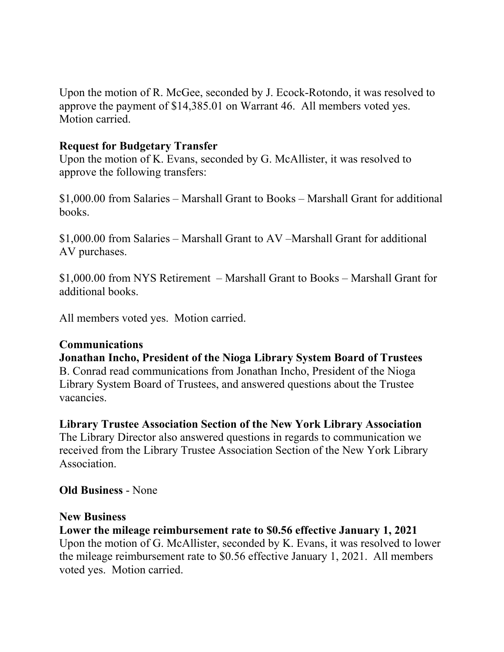Upon the motion of R. McGee, seconded by J. Ecock-Rotondo, it was resolved to approve the payment of \$14,385.01 on Warrant 46. All members voted yes. Motion carried.

## **Request for Budgetary Transfer**

Upon the motion of K. Evans, seconded by G. McAllister, it was resolved to approve the following transfers:

\$1,000.00 from Salaries – Marshall Grant to Books – Marshall Grant for additional books.

\$1,000.00 from Salaries – Marshall Grant to AV –Marshall Grant for additional AV purchases.

\$1,000.00 from NYS Retirement – Marshall Grant to Books – Marshall Grant for additional books.

All members voted yes. Motion carried.

### **Communications**

**Jonathan Incho, President of the Nioga Library System Board of Trustees**  B. Conrad read communications from Jonathan Incho, President of the Nioga Library System Board of Trustees, and answered questions about the Trustee vacancies.

**Library Trustee Association Section of the New York Library Association**  The Library Director also answered questions in regards to communication we received from the Library Trustee Association Section of the New York Library Association.

# **Old Business** - None

### **New Business**

**Lower the mileage reimbursement rate to \$0.56 effective January 1, 2021**  Upon the motion of G. McAllister, seconded by K. Evans, it was resolved to lower the mileage reimbursement rate to \$0.56 effective January 1, 2021. All members voted yes. Motion carried.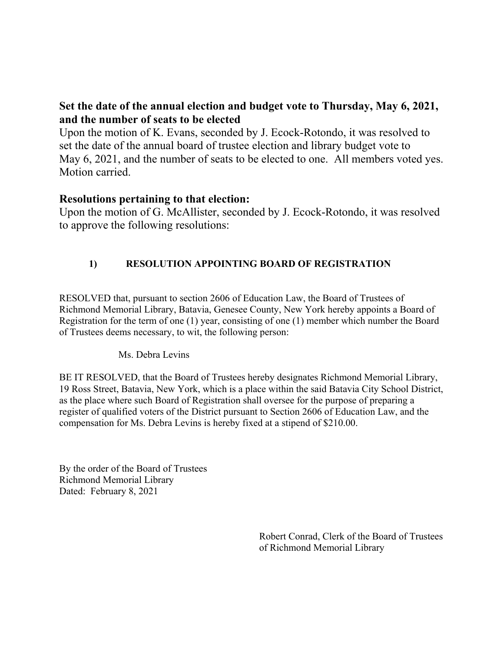## **Set the date of the annual election and budget vote to Thursday, May 6, 2021, and the number of seats to be elected**

Upon the motion of K. Evans, seconded by J. Ecock-Rotondo, it was resolved to set the date of the annual board of trustee election and library budget vote to May 6, 2021, and the number of seats to be elected to one. All members voted yes. Motion carried.

# **Resolutions pertaining to that election:**

Upon the motion of G. McAllister, seconded by J. Ecock-Rotondo, it was resolved to approve the following resolutions:

# **1) RESOLUTION APPOINTING BOARD OF REGISTRATION**

RESOLVED that, pursuant to section 2606 of Education Law, the Board of Trustees of Richmond Memorial Library, Batavia, Genesee County, New York hereby appoints a Board of Registration for the term of one (1) year, consisting of one (1) member which number the Board of Trustees deems necessary, to wit, the following person:

#### Ms. Debra Levins

BE IT RESOLVED, that the Board of Trustees hereby designates Richmond Memorial Library, 19 Ross Street, Batavia, New York, which is a place within the said Batavia City School District, as the place where such Board of Registration shall oversee for the purpose of preparing a register of qualified voters of the District pursuant to Section 2606 of Education Law, and the compensation for Ms. Debra Levins is hereby fixed at a stipend of \$210.00.

By the order of the Board of Trustees Richmond Memorial Library Dated: February 8, 2021

> Robert Conrad, Clerk of the Board of Trustees of Richmond Memorial Library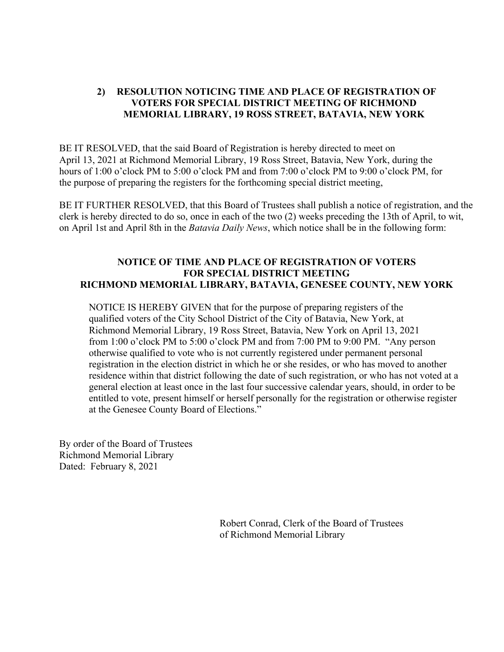#### **2) RESOLUTION NOTICING TIME AND PLACE OF REGISTRATION OF VOTERS FOR SPECIAL DISTRICT MEETING OF RICHMOND MEMORIAL LIBRARY, 19 ROSS STREET, BATAVIA, NEW YORK**

BE IT RESOLVED, that the said Board of Registration is hereby directed to meet on April 13, 2021 at Richmond Memorial Library, 19 Ross Street, Batavia, New York, during the hours of 1:00 o'clock PM to 5:00 o'clock PM and from 7:00 o'clock PM to 9:00 o'clock PM, for the purpose of preparing the registers for the forthcoming special district meeting,

BE IT FURTHER RESOLVED, that this Board of Trustees shall publish a notice of registration, and the clerk is hereby directed to do so, once in each of the two (2) weeks preceding the 13th of April, to wit, on April 1st and April 8th in the *Batavia Daily News*, which notice shall be in the following form:

#### **NOTICE OF TIME AND PLACE OF REGISTRATION OF VOTERS FOR SPECIAL DISTRICT MEETING RICHMOND MEMORIAL LIBRARY, BATAVIA, GENESEE COUNTY, NEW YORK**

NOTICE IS HEREBY GIVEN that for the purpose of preparing registers of the qualified voters of the City School District of the City of Batavia, New York, at Richmond Memorial Library, 19 Ross Street, Batavia, New York on April 13, 2021 from 1:00 o'clock PM to 5:00 o'clock PM and from 7:00 PM to 9:00 PM. "Any person otherwise qualified to vote who is not currently registered under permanent personal registration in the election district in which he or she resides, or who has moved to another residence within that district following the date of such registration, or who has not voted at a general election at least once in the last four successive calendar years, should, in order to be entitled to vote, present himself or herself personally for the registration or otherwise register at the Genesee County Board of Elections."

By order of the Board of Trustees Richmond Memorial Library Dated: February 8, 2021

> Robert Conrad, Clerk of the Board of Trustees of Richmond Memorial Library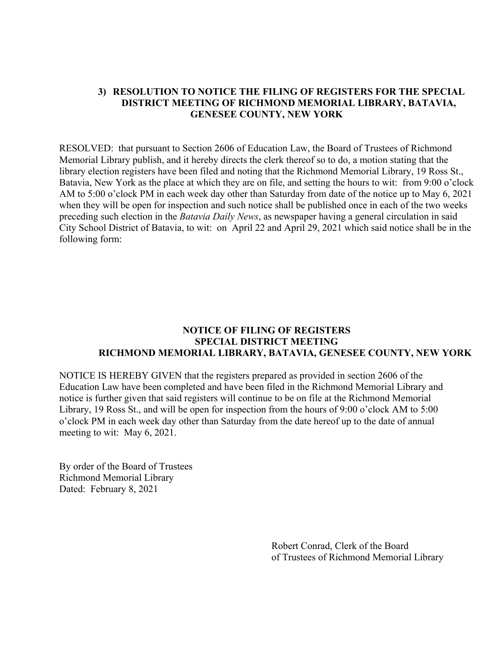#### **3) RESOLUTION TO NOTICE THE FILING OF REGISTERS FOR THE SPECIAL DISTRICT MEETING OF RICHMOND MEMORIAL LIBRARY, BATAVIA, GENESEE COUNTY, NEW YORK**

RESOLVED: that pursuant to Section 2606 of Education Law, the Board of Trustees of Richmond Memorial Library publish, and it hereby directs the clerk thereof so to do, a motion stating that the library election registers have been filed and noting that the Richmond Memorial Library, 19 Ross St., Batavia, New York as the place at which they are on file, and setting the hours to wit: from 9:00 o'clock AM to 5:00 o'clock PM in each week day other than Saturday from date of the notice up to May 6, 2021 when they will be open for inspection and such notice shall be published once in each of the two weeks preceding such election in the *Batavia Daily News*, as newspaper having a general circulation in said City School District of Batavia, to wit: on April 22 and April 29, 2021 which said notice shall be in the following form:

#### **NOTICE OF FILING OF REGISTERS SPECIAL DISTRICT MEETING RICHMOND MEMORIAL LIBRARY, BATAVIA, GENESEE COUNTY, NEW YORK**

NOTICE IS HEREBY GIVEN that the registers prepared as provided in section 2606 of the Education Law have been completed and have been filed in the Richmond Memorial Library and notice is further given that said registers will continue to be on file at the Richmond Memorial Library, 19 Ross St., and will be open for inspection from the hours of 9:00 o'clock AM to 5:00 o'clock PM in each week day other than Saturday from the date hereof up to the date of annual meeting to wit: May 6, 2021.

By order of the Board of Trustees Richmond Memorial Library Dated: February 8, 2021

> Robert Conrad, Clerk of the Board of Trustees of Richmond Memorial Library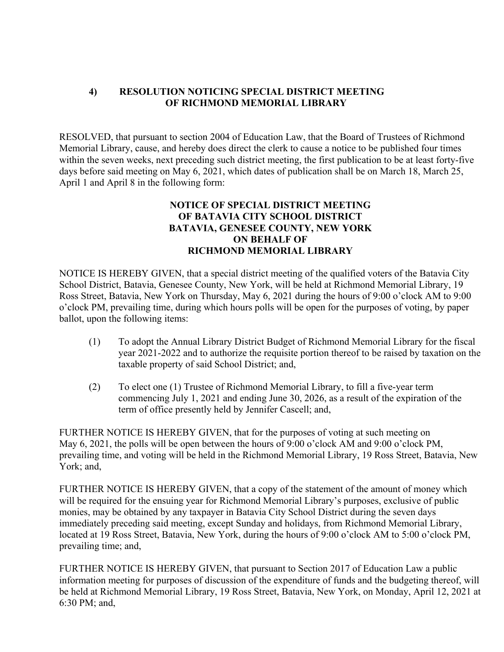#### **4) RESOLUTION NOTICING SPECIAL DISTRICT MEETING OF RICHMOND MEMORIAL LIBRARY**

RESOLVED, that pursuant to section 2004 of Education Law, that the Board of Trustees of Richmond Memorial Library, cause, and hereby does direct the clerk to cause a notice to be published four times within the seven weeks, next preceding such district meeting, the first publication to be at least forty-five days before said meeting on May 6, 2021, which dates of publication shall be on March 18, March 25, April 1 and April 8 in the following form:

#### **NOTICE OF SPECIAL DISTRICT MEETING OF BATAVIA CITY SCHOOL DISTRICT BATAVIA, GENESEE COUNTY, NEW YORK ON BEHALF OF RICHMOND MEMORIAL LIBRARY**

NOTICE IS HEREBY GIVEN, that a special district meeting of the qualified voters of the Batavia City School District, Batavia, Genesee County, New York, will be held at Richmond Memorial Library, 19 Ross Street, Batavia, New York on Thursday, May 6, 2021 during the hours of 9:00 o'clock AM to 9:00 o'clock PM, prevailing time, during which hours polls will be open for the purposes of voting, by paper ballot, upon the following items:

- (1) To adopt the Annual Library District Budget of Richmond Memorial Library for the fiscal year 2021-2022 and to authorize the requisite portion thereof to be raised by taxation on the taxable property of said School District; and,
- (2) To elect one (1) Trustee of Richmond Memorial Library, to fill a five-year term commencing July 1, 2021 and ending June 30, 2026, as a result of the expiration of the term of office presently held by Jennifer Cascell; and,

FURTHER NOTICE IS HEREBY GIVEN, that for the purposes of voting at such meeting on May 6, 2021, the polls will be open between the hours of 9:00 o'clock AM and 9:00 o'clock PM, prevailing time, and voting will be held in the Richmond Memorial Library, 19 Ross Street, Batavia, New York; and,

FURTHER NOTICE IS HEREBY GIVEN, that a copy of the statement of the amount of money which will be required for the ensuing year for Richmond Memorial Library's purposes, exclusive of public monies, may be obtained by any taxpayer in Batavia City School District during the seven days immediately preceding said meeting, except Sunday and holidays, from Richmond Memorial Library, located at 19 Ross Street, Batavia, New York, during the hours of 9:00 o'clock AM to 5:00 o'clock PM, prevailing time; and,

FURTHER NOTICE IS HEREBY GIVEN, that pursuant to Section 2017 of Education Law a public information meeting for purposes of discussion of the expenditure of funds and the budgeting thereof, will be held at Richmond Memorial Library, 19 Ross Street, Batavia, New York, on Monday, April 12, 2021 at 6:30 PM; and,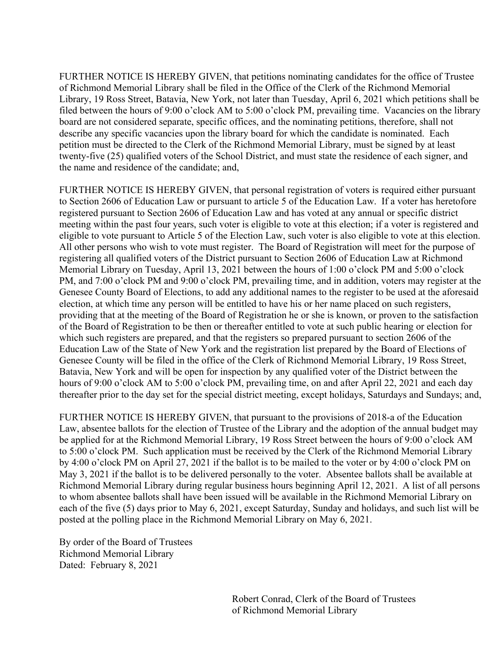FURTHER NOTICE IS HEREBY GIVEN, that petitions nominating candidates for the office of Trustee of Richmond Memorial Library shall be filed in the Office of the Clerk of the Richmond Memorial Library, 19 Ross Street, Batavia, New York, not later than Tuesday, April 6, 2021 which petitions shall be filed between the hours of 9:00 o'clock AM to 5:00 o'clock PM, prevailing time. Vacancies on the library board are not considered separate, specific offices, and the nominating petitions, therefore, shall not describe any specific vacancies upon the library board for which the candidate is nominated. Each petition must be directed to the Clerk of the Richmond Memorial Library, must be signed by at least twenty-five (25) qualified voters of the School District, and must state the residence of each signer, and the name and residence of the candidate; and,

FURTHER NOTICE IS HEREBY GIVEN, that personal registration of voters is required either pursuant to Section 2606 of Education Law or pursuant to article 5 of the Education Law. If a voter has heretofore registered pursuant to Section 2606 of Education Law and has voted at any annual or specific district meeting within the past four years, such voter is eligible to vote at this election; if a voter is registered and eligible to vote pursuant to Article 5 of the Election Law, such voter is also eligible to vote at this election. All other persons who wish to vote must register. The Board of Registration will meet for the purpose of registering all qualified voters of the District pursuant to Section 2606 of Education Law at Richmond Memorial Library on Tuesday, April 13, 2021 between the hours of 1:00 o'clock PM and 5:00 o'clock PM, and 7:00 o'clock PM and 9:00 o'clock PM, prevailing time, and in addition, voters may register at the Genesee County Board of Elections, to add any additional names to the register to be used at the aforesaid election, at which time any person will be entitled to have his or her name placed on such registers, providing that at the meeting of the Board of Registration he or she is known, or proven to the satisfaction of the Board of Registration to be then or thereafter entitled to vote at such public hearing or election for which such registers are prepared, and that the registers so prepared pursuant to section 2606 of the Education Law of the State of New York and the registration list prepared by the Board of Elections of Genesee County will be filed in the office of the Clerk of Richmond Memorial Library, 19 Ross Street, Batavia, New York and will be open for inspection by any qualified voter of the District between the hours of 9:00 o'clock AM to 5:00 o'clock PM, prevailing time, on and after April 22, 2021 and each day thereafter prior to the day set for the special district meeting, except holidays, Saturdays and Sundays; and,

FURTHER NOTICE IS HEREBY GIVEN, that pursuant to the provisions of 2018-a of the Education Law, absentee ballots for the election of Trustee of the Library and the adoption of the annual budget may be applied for at the Richmond Memorial Library, 19 Ross Street between the hours of 9:00 o'clock AM to 5:00 o'clock PM. Such application must be received by the Clerk of the Richmond Memorial Library by 4:00 o'clock PM on April 27, 2021 if the ballot is to be mailed to the voter or by 4:00 o'clock PM on May 3, 2021 if the ballot is to be delivered personally to the voter. Absentee ballots shall be available at Richmond Memorial Library during regular business hours beginning April 12, 2021. A list of all persons to whom absentee ballots shall have been issued will be available in the Richmond Memorial Library on each of the five (5) days prior to May 6, 2021, except Saturday, Sunday and holidays, and such list will be posted at the polling place in the Richmond Memorial Library on May 6, 2021.

By order of the Board of Trustees Richmond Memorial Library Dated: February 8, 2021

> Robert Conrad, Clerk of the Board of Trustees of Richmond Memorial Library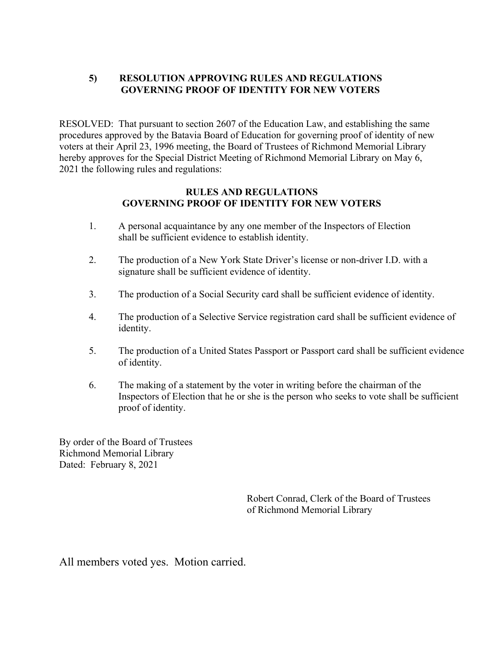#### **5) RESOLUTION APPROVING RULES AND REGULATIONS GOVERNING PROOF OF IDENTITY FOR NEW VOTERS**

RESOLVED: That pursuant to section 2607 of the Education Law, and establishing the same procedures approved by the Batavia Board of Education for governing proof of identity of new voters at their April 23, 1996 meeting, the Board of Trustees of Richmond Memorial Library hereby approves for the Special District Meeting of Richmond Memorial Library on May 6, 2021 the following rules and regulations:

#### **RULES AND REGULATIONS GOVERNING PROOF OF IDENTITY FOR NEW VOTERS**

- 1. A personal acquaintance by any one member of the Inspectors of Election shall be sufficient evidence to establish identity.
- 2. The production of a New York State Driver's license or non-driver I.D. with a signature shall be sufficient evidence of identity.
- 3. The production of a Social Security card shall be sufficient evidence of identity.
- 4. The production of a Selective Service registration card shall be sufficient evidence of identity.
- 5. The production of a United States Passport or Passport card shall be sufficient evidence of identity.
- 6. The making of a statement by the voter in writing before the chairman of the Inspectors of Election that he or she is the person who seeks to vote shall be sufficient proof of identity.

By order of the Board of Trustees Richmond Memorial Library Dated: February 8, 2021

> Robert Conrad, Clerk of the Board of Trustees of Richmond Memorial Library

All members voted yes. Motion carried.